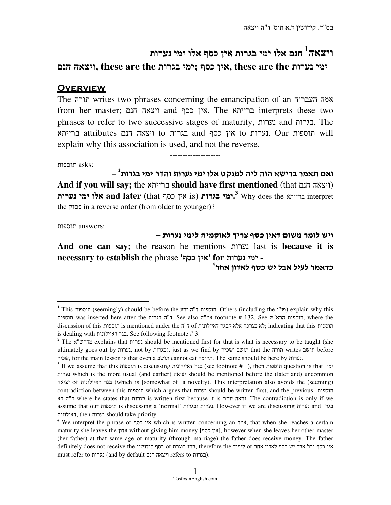## **1** ויצאה חנם אלו ימי בגרות אין כסף אלו ימי נערות –

ימי נערות **the are these ,**אין כסף **;**ימי בגרות **the are these ,**ויצאה חנם

## **OVERVIEW**

The תורה writes two phrases concerning the emancipation of an העבריה אמה from her master; חנם ויצאה and כסף אין. The ברייתא interprets these two phrases to refer to two successive stages of maturity, נערות and בגרות. The will תוספות Our .נערות to אין כסף and בגרות to ויצאה חנם attributes ברייתא explain why this association is used, and not the reverse.

:asks תוספות

 $\textsf{-} \frac{2}{3}$ ואם תאמר ברישא הוה ליה למנקט אלו ימי נערות והדר ימי בגרות **And if you will say;** the ברייתא **should have first mentioned** (that חנם ויצאה( ברייתא **and later** (that קימי בגרות is) **גאין בגרות <sup>3</sup> Why does the אלו ימי נערות.** the פסוק in a reverse order (from older to younger)?

--------------------

:answers תוספות

 $\overline{a}$ 

ויש לומר משום דאיו כסף צריד לאוקמיה לימי נערות – **And one can say;** the reason he mentions נערות last is **because it is necessary to establish** the phrase 'כסף אין'**for** נערות ימי **-** 

– כדאמר לעיל אבל יש כסף לאדון אחר<sup>4</sup>

 $^{\rm 1}$  This תוספות) should be before the תוספות ה. Others (including the פנ"י) explain why this תוספות was inserted here after the ד"ה בגרות. See also המשפות הרא"ש, where the תוספות discussion of this תוספות is mentioned under the ד"ה of דאיילונית לבגר אלא נצרכה לא ;indicating that this תוספות is dealing with דאיילונית בגר. See following footnote # 3.

<sup>&</sup>lt;sup>2</sup> The וערות explains that tyre that is mentioned first for that is what is necessary to be taught (she ultimately goes out by נערות, not by בגרות(, just as we find by ושכיר תושב that the תורה writes תושב before שכיר, for the main lesson is that even a תושב cannot eat תרומה. The same should be here by נערות.

 $^3$  If we assume that this תוספות is discussing בגר דאיילונית (see footnote # 1), then תוספות question is that ימי נערות which is the more usual (and earlier) יציאה should be mentioned before the (later and) uncommon יציאה of דאיילונית בגר) which is [somewhat of] a novelty). This interpretation also avoids the (seeming) contradiction between this תוספות which argues that נערות should be written first, and the previous תוספות בא ה ד "where he states that בגרות is written first because it is יותר נראה. The contradiction is only if we assume that our תוספות is discussing a 'normal' ובגרות נערות. However if we are discussing נערות and בגר דאילונית, then נערות should take priority.

<sup>4</sup> We interpret the phrase of כסף אין which is written concerning an אמה, that when she reaches a certain maturity she leaves the אדון without giving him money [אין כסף], however when she leaves her other master (her father) at that same age of maturity (through marriage) the father does receive money. The father אין כסף וכו' אבל יש כסף לאדון אחר of לימוד the therefore ,בתו בוגרת of כסף קידושין the receive not does definitely must refer to נערות) (and by default חנשאה חנם ויצאה refers to בגרות).